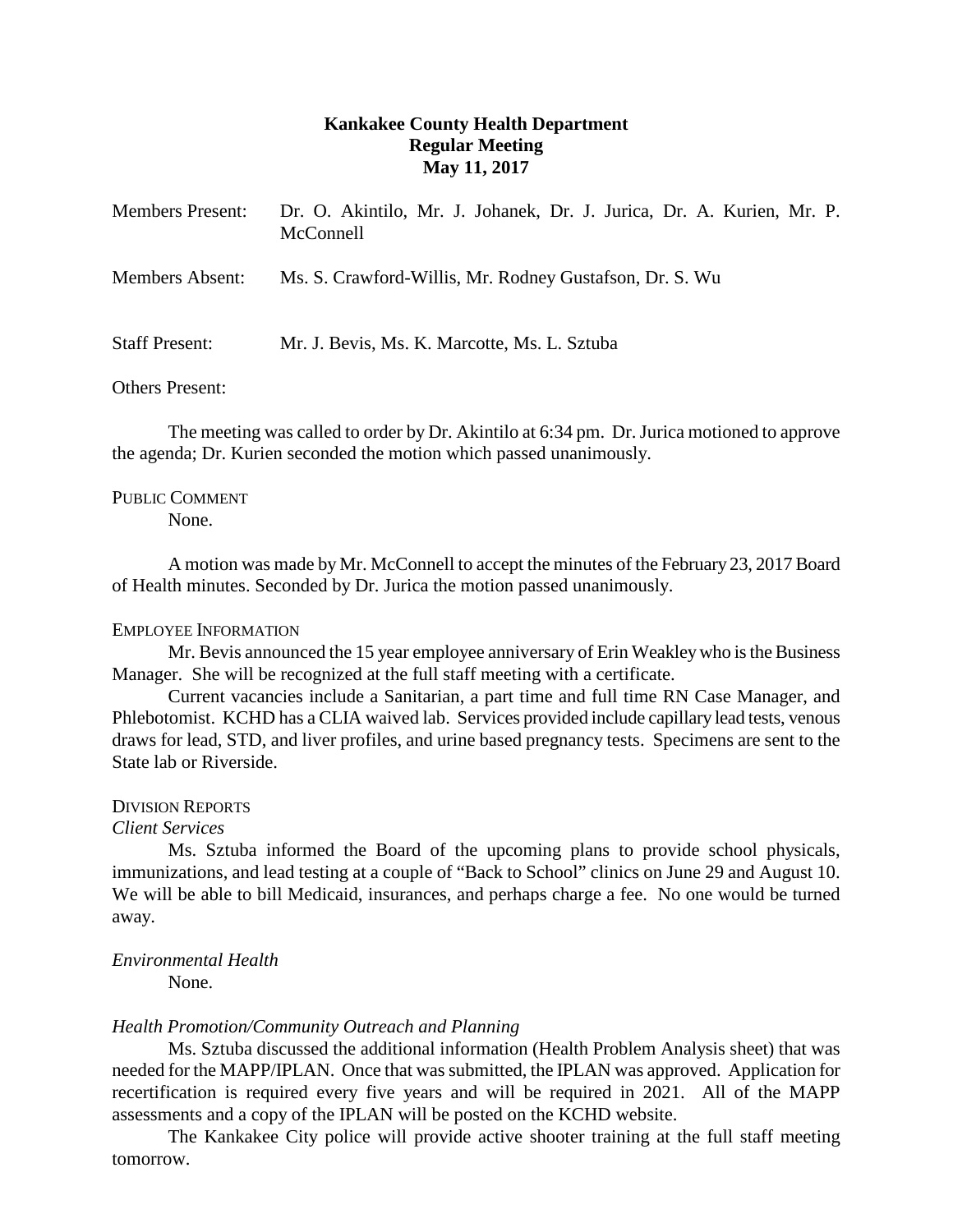# **Kankakee County Health Department Regular Meeting May 11, 2017**

| <b>Members Present:</b> | Dr. O. Akintilo, Mr. J. Johanek, Dr. J. Jurica, Dr. A. Kurien, Mr. P.<br>McConnell |
|-------------------------|------------------------------------------------------------------------------------|
| Members Absent:         | Ms. S. Crawford-Willis, Mr. Rodney Gustafson, Dr. S. Wu                            |
| <b>Staff Present:</b>   | Mr. J. Bevis, Ms. K. Marcotte, Ms. L. Sztuba                                       |

## Others Present:

The meeting was called to order by Dr. Akintilo at 6:34 pm. Dr. Jurica motioned to approve the agenda; Dr. Kurien seconded the motion which passed unanimously.

## PUBLIC COMMENT

None.

A motion was made by Mr. McConnell to accept the minutes of the February 23, 2017 Board of Health minutes. Seconded by Dr. Jurica the motion passed unanimously.

### EMPLOYEE INFORMATION

Mr. Bevis announced the 15 year employee anniversary of Erin Weakley who is the Business Manager. She will be recognized at the full staff meeting with a certificate.

Current vacancies include a Sanitarian, a part time and full time RN Case Manager, and Phlebotomist. KCHD has a CLIA waived lab. Services provided include capillary lead tests, venous draws for lead, STD, and liver profiles, and urine based pregnancy tests. Specimens are sent to the State lab or Riverside.

### DIVISION REPORTS

### *Client Services*

Ms. Sztuba informed the Board of the upcoming plans to provide school physicals, immunizations, and lead testing at a couple of "Back to School" clinics on June 29 and August 10. We will be able to bill Medicaid, insurances, and perhaps charge a fee. No one would be turned away.

## *Environmental Health*

None.

### *Health Promotion/Community Outreach and Planning*

Ms. Sztuba discussed the additional information (Health Problem Analysis sheet) that was needed for the MAPP/IPLAN. Once that was submitted, the IPLAN was approved. Application for recertification is required every five years and will be required in 2021. All of the MAPP assessments and a copy of the IPLAN will be posted on the KCHD website.

The Kankakee City police will provide active shooter training at the full staff meeting tomorrow.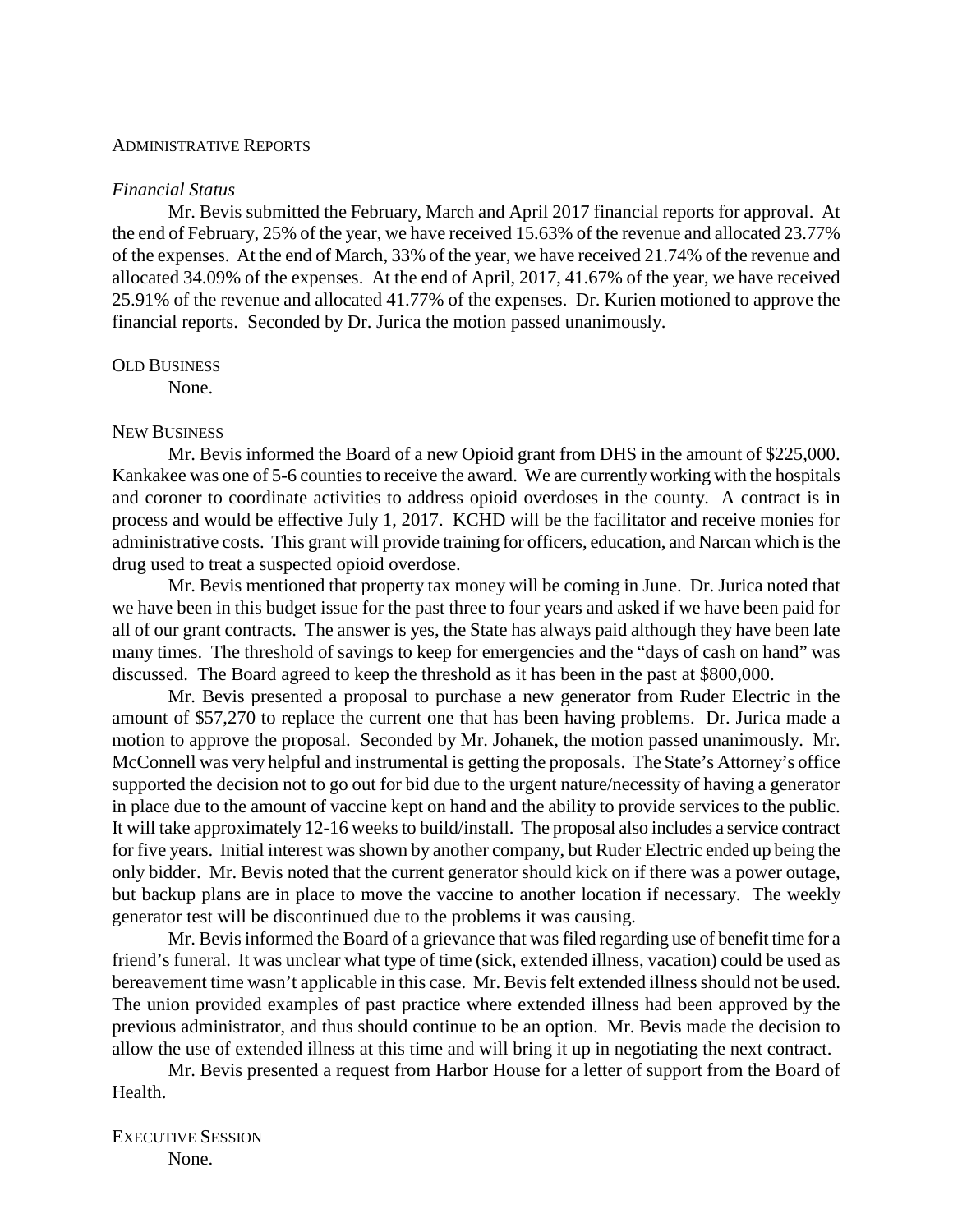#### ADMINISTRATIVE REPORTS

#### *Financial Status*

Mr. Bevis submitted the February, March and April 2017 financial reports for approval. At the end of February, 25% of the year, we have received 15.63% of the revenue and allocated 23.77% of the expenses. At the end of March, 33% of the year, we have received 21.74% of the revenue and allocated 34.09% of the expenses. At the end of April, 2017, 41.67% of the year, we have received 25.91% of the revenue and allocated 41.77% of the expenses. Dr. Kurien motioned to approve the financial reports. Seconded by Dr. Jurica the motion passed unanimously.

#### OLD BUSINESS

None.

#### NEW BUSINESS

Mr. Bevis informed the Board of a new Opioid grant from DHS in the amount of \$225,000. Kankakee was one of 5-6 counties to receive the award. We are currently working with the hospitals and coroner to coordinate activities to address opioid overdoses in the county. A contract is in process and would be effective July 1, 2017. KCHD will be the facilitator and receive monies for administrative costs. This grant will provide training for officers, education, and Narcan which is the drug used to treat a suspected opioid overdose.

Mr. Bevis mentioned that property tax money will be coming in June. Dr. Jurica noted that we have been in this budget issue for the past three to four years and asked if we have been paid for all of our grant contracts. The answer is yes, the State has always paid although they have been late many times. The threshold of savings to keep for emergencies and the "days of cash on hand" was discussed. The Board agreed to keep the threshold as it has been in the past at \$800,000.

Mr. Bevis presented a proposal to purchase a new generator from Ruder Electric in the amount of \$57,270 to replace the current one that has been having problems. Dr. Jurica made a motion to approve the proposal. Seconded by Mr. Johanek, the motion passed unanimously. Mr. McConnell was very helpful and instrumental is getting the proposals. The State's Attorney's office supported the decision not to go out for bid due to the urgent nature/necessity of having a generator in place due to the amount of vaccine kept on hand and the ability to provide services to the public. It will take approximately 12-16 weeks to build/install. The proposal also includes a service contract for five years. Initial interest was shown by another company, but Ruder Electric ended up being the only bidder. Mr. Bevis noted that the current generator should kick on if there was a power outage, but backup plans are in place to move the vaccine to another location if necessary. The weekly generator test will be discontinued due to the problems it was causing.

Mr. Bevis informed the Board of a grievance that was filed regarding use of benefit time for a friend's funeral. It was unclear what type of time (sick, extended illness, vacation) could be used as bereavement time wasn't applicable in this case. Mr. Bevis felt extended illness should not be used. The union provided examples of past practice where extended illness had been approved by the previous administrator, and thus should continue to be an option. Mr. Bevis made the decision to allow the use of extended illness at this time and will bring it up in negotiating the next contract.

Mr. Bevis presented a request from Harbor House for a letter of support from the Board of Health.

EXECUTIVE SESSION None.